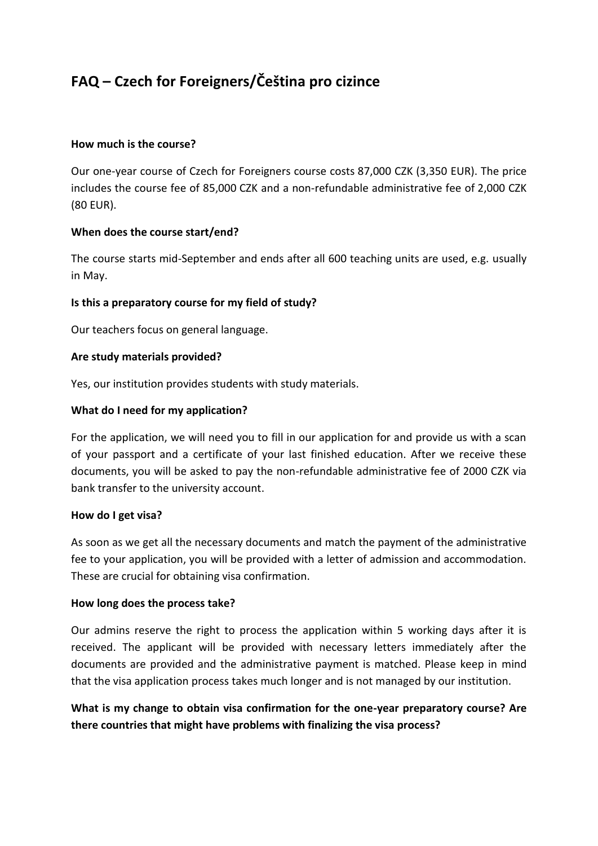# **FAQ – Czech for Foreigners/Čeština pro cizince**

## **How much is the course?**

Our one-year course of Czech for Foreigners course costs 87,000 CZK (3,350 EUR). The price includes the course fee of 85,000 CZK and a non-refundable administrative fee of 2,000 CZK (80 EUR).

## **When does the course start/end?**

The course starts mid-September and ends after all 600 teaching units are used, e.g. usually in May.

## **Is this a preparatory course for my field of study?**

Our teachers focus on general language.

#### **Are study materials provided?**

Yes, our institution provides students with study materials.

## **What do I need for my application?**

For the application, we will need you to fill in our application for and provide us with a scan of your passport and a certificate of your last finished education. After we receive these documents, you will be asked to pay the non-refundable administrative fee of 2000 CZK via bank transfer to the university account.

#### **How do I get visa?**

As soon as we get all the necessary documents and match the payment of the administrative fee to your application, you will be provided with a letter of admission and accommodation. These are crucial for obtaining visa confirmation.

#### **How long does the process take?**

Our admins reserve the right to process the application within 5 working days after it is received. The applicant will be provided with necessary letters immediately after the documents are provided and the administrative payment is matched. Please keep in mind that the visa application process takes much longer and is not managed by our institution.

**What is my change to obtain visa confirmation for the one-year preparatory course? Are there countries that might have problems with finalizing the visa process?**